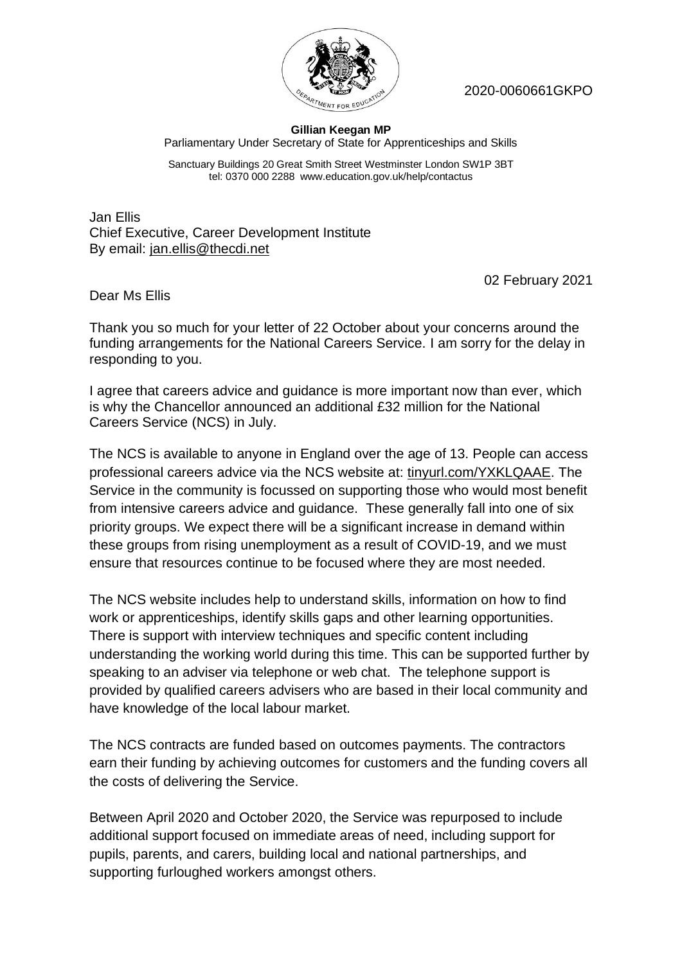

2020-0060661GKPO

## **Gillian Keegan MP** Parliamentary Under Secretary of State for Apprenticeships and Skills

Sanctuary Buildings 20 Great Smith Street Westminster London SW1P 3BT tel: 0370 000 2288 www.education.gov.uk/help/contactus

Jan Ellis Chief Executive, Career Development Institute By email: jan.ellis@thecdi.net

02 February 2021

Dear Ms Ellis

Thank you so much for your letter of 22 October about your concerns around the funding arrangements for the National Careers Service. I am sorry for the delay in responding to you.

I agree that careers advice and guidance is more important now than ever, which is why the Chancellor announced an additional £32 million for the National Careers Service (NCS) in July.

The NCS is available to anyone in England over the age of 13. People can access professional careers advice via the NCS website at: tinyurl.com/YXKLQAAE. The Service in the community is focussed on supporting those who would most benefit from intensive careers advice and guidance. These generally fall into one of six priority groups. We expect there will be a significant increase in demand within these groups from rising unemployment as a result of COVID-19, and we must ensure that resources continue to be focused where they are most needed.

The NCS website includes help to understand skills, information on how to find work or apprenticeships, identify skills gaps and other learning opportunities. There is support with interview techniques and specific content including understanding the working world during this time. This can be supported further by speaking to an adviser via telephone or web chat. The telephone support is provided by qualified careers advisers who are based in their local community and have knowledge of the local labour market.

The NCS contracts are funded based on outcomes payments. The contractors earn their funding by achieving outcomes for customers and the funding covers all the costs of delivering the Service.

Between April 2020 and October 2020, the Service was repurposed to include additional support focused on immediate areas of need, including support for pupils, parents, and carers, building local and national partnerships, and supporting furloughed workers amongst others.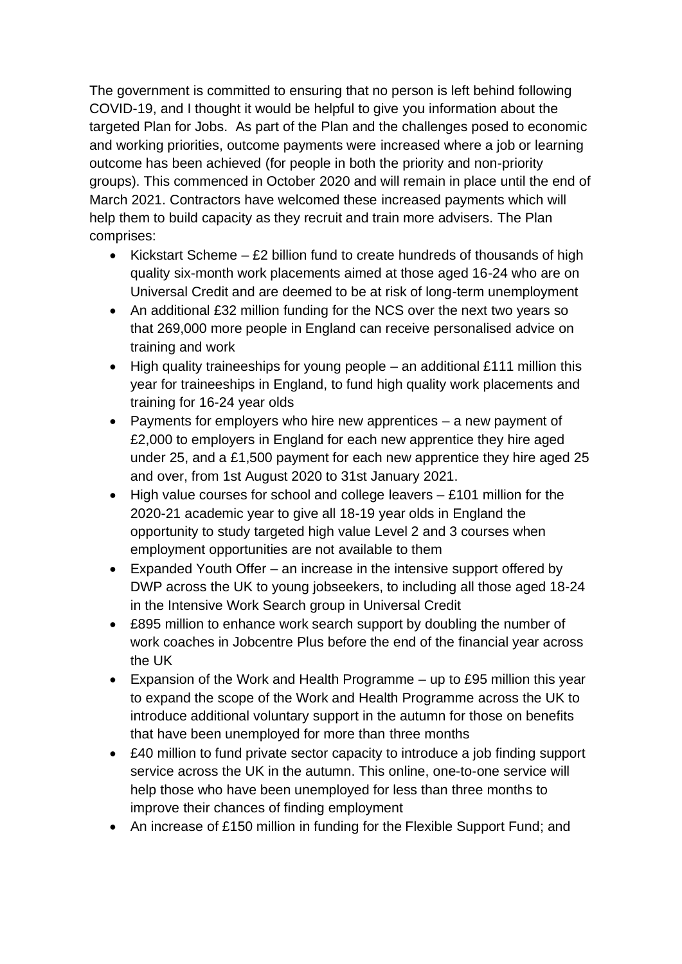The government is committed to ensuring that no person is left behind following COVID-19, and I thought it would be helpful to give you information about the targeted Plan for Jobs. As part of the Plan and the challenges posed to economic and working priorities, outcome payments were increased where a job or learning outcome has been achieved (for people in both the priority and non-priority groups). This commenced in October 2020 and will remain in place until the end of March 2021. Contractors have welcomed these increased payments which will help them to build capacity as they recruit and train more advisers. The Plan comprises:

- Kickstart Scheme  $-$  £2 billion fund to create hundreds of thousands of high quality six-month work placements aimed at those aged 16-24 who are on Universal Credit and are deemed to be at risk of long-term unemployment
- An additional £32 million funding for the NCS over the next two years so that 269,000 more people in England can receive personalised advice on training and work
- High quality traineeships for young people an additional £111 million this year for traineeships in England, to fund high quality work placements and training for 16-24 year olds
- Payments for employers who hire new apprentices a new payment of £2,000 to employers in England for each new apprentice they hire aged under 25, and a £1,500 payment for each new apprentice they hire aged 25 and over, from 1st August 2020 to 31st January 2021.
- $\bullet$  High value courses for school and college leavers  $-$  £101 million for the 2020-21 academic year to give all 18-19 year olds in England the opportunity to study targeted high value Level 2 and 3 courses when employment opportunities are not available to them
- Expanded Youth Offer an increase in the intensive support offered by DWP across the UK to young jobseekers, to including all those aged 18-24 in the Intensive Work Search group in Universal Credit
- £895 million to enhance work search support by doubling the number of work coaches in Jobcentre Plus before the end of the financial year across the UK
- Expansion of the Work and Health Programme up to £95 million this year to expand the scope of the Work and Health Programme across the UK to introduce additional voluntary support in the autumn for those on benefits that have been unemployed for more than three months
- £40 million to fund private sector capacity to introduce a job finding support service across the UK in the autumn. This online, one-to-one service will help those who have been unemployed for less than three months to improve their chances of finding employment
- An increase of £150 million in funding for the Flexible Support Fund; and